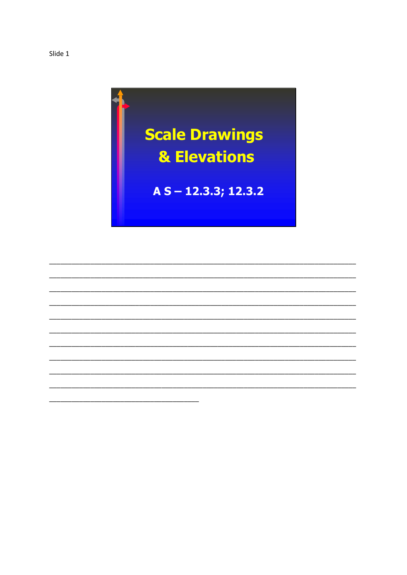

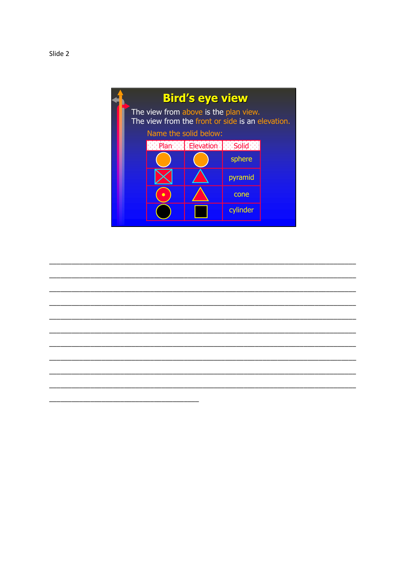Slide 2



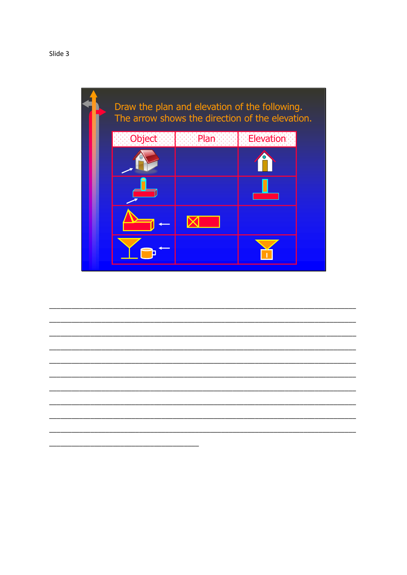

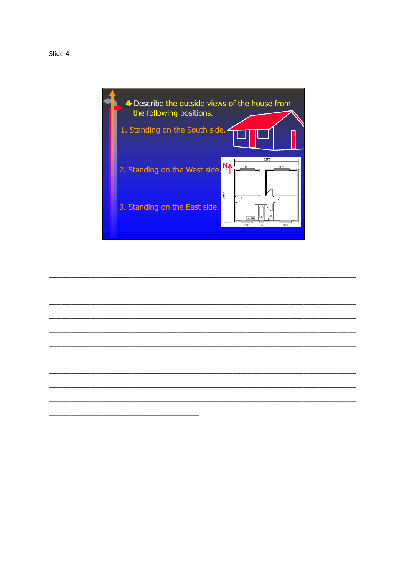

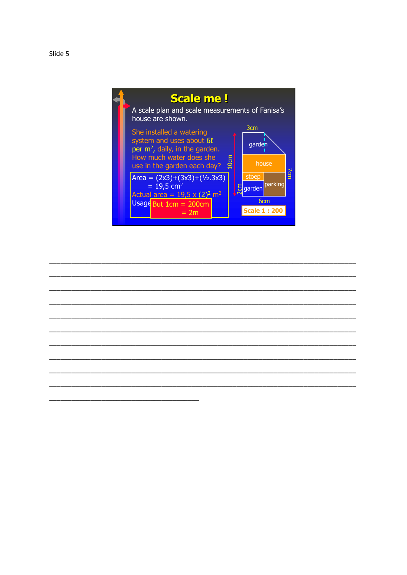

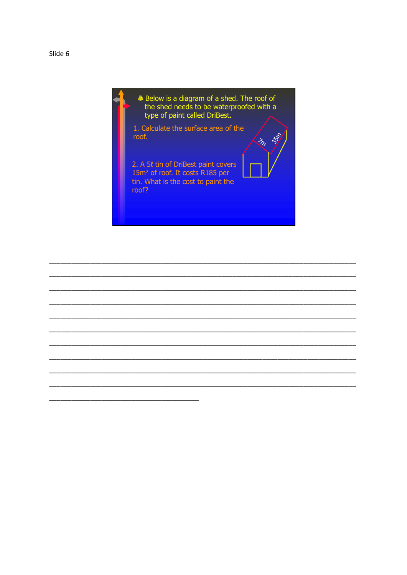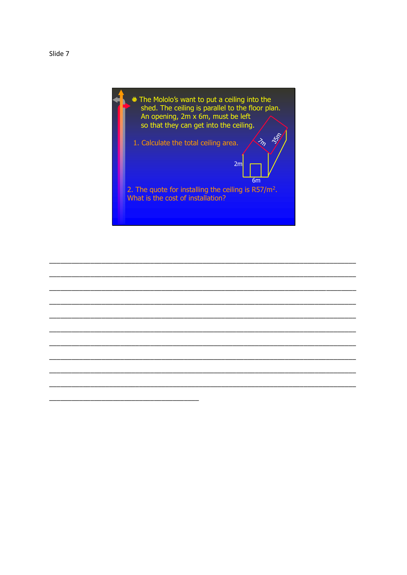

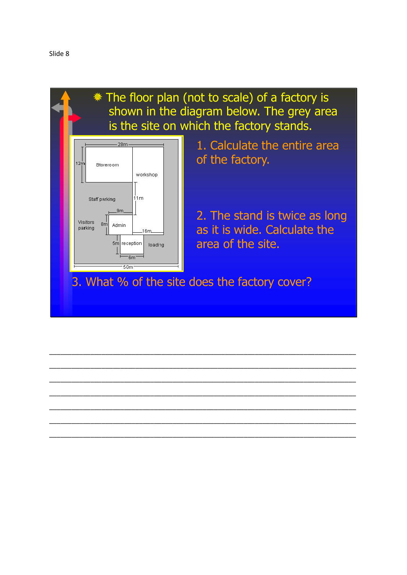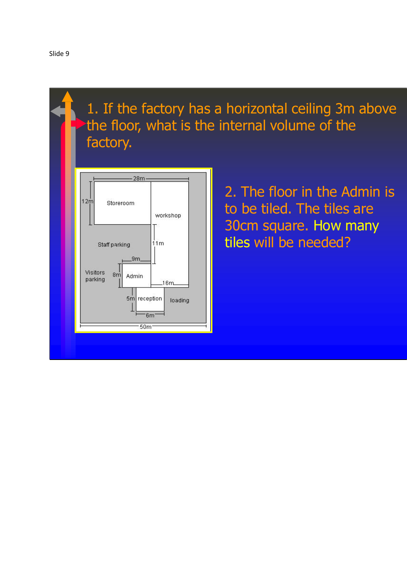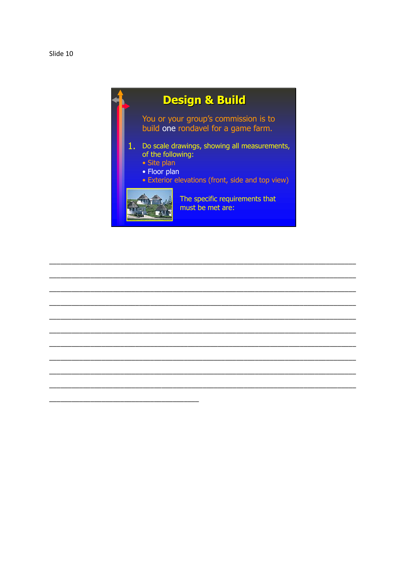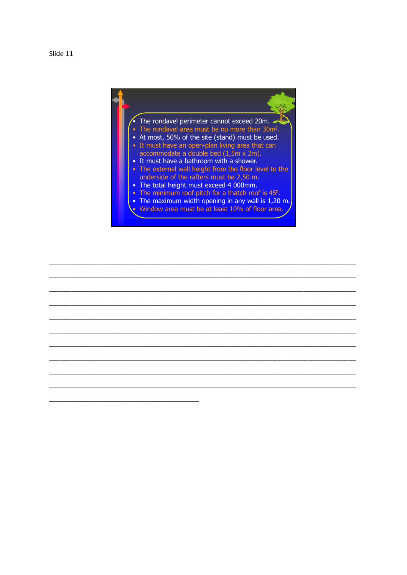

\_\_\_\_\_\_\_\_\_\_\_\_\_\_\_\_\_\_\_\_\_\_\_\_\_\_\_\_\_\_\_\_\_\_\_\_\_\_\_\_\_\_\_\_\_\_\_\_\_\_\_\_\_\_\_\_\_\_\_\_\_\_\_\_\_\_\_\_\_\_\_\_\_\_\_\_\_\_\_\_\_\_

\_\_\_\_\_\_\_\_\_\_\_\_\_\_\_\_\_\_\_\_\_\_\_\_\_\_\_\_\_\_\_\_\_\_\_\_\_\_\_\_\_\_\_\_\_\_\_\_\_\_\_\_\_\_\_\_\_\_\_\_\_\_\_\_\_\_\_\_\_\_\_\_\_\_\_\_\_\_\_\_\_\_

\_\_\_\_\_\_\_\_\_\_\_\_\_\_\_\_\_\_\_\_\_\_\_\_\_\_\_\_\_\_\_\_\_\_\_\_\_\_\_\_\_\_\_\_\_\_\_\_\_\_\_\_\_\_\_\_\_\_\_\_\_\_\_\_\_\_\_\_\_\_\_\_\_\_\_\_\_\_\_\_\_\_

\_\_\_\_\_\_\_\_\_\_\_\_\_\_\_\_\_\_\_\_\_\_\_\_\_\_\_\_\_\_\_\_\_\_\_\_\_\_\_\_\_\_\_\_\_\_\_\_\_\_\_\_\_\_\_\_\_\_\_\_\_\_\_\_\_\_\_\_\_\_\_\_\_\_\_\_\_\_\_\_\_\_

\_\_\_\_\_\_\_\_\_\_\_\_\_\_\_\_\_\_\_\_\_\_\_\_\_\_\_\_\_\_\_\_\_\_\_\_\_\_\_\_\_\_\_\_\_\_\_\_\_\_\_\_\_\_\_\_\_\_\_\_\_\_\_\_\_\_\_\_\_\_\_\_\_\_\_\_\_\_\_\_\_\_

\_\_\_\_\_\_\_\_\_\_\_\_\_\_\_\_\_\_\_\_\_\_\_\_\_\_\_\_\_\_\_\_\_\_\_\_\_\_\_\_\_\_\_\_\_\_\_\_\_\_\_\_\_\_\_\_\_\_\_\_\_\_\_\_\_\_\_\_\_\_\_\_\_\_\_\_\_\_\_\_\_\_

\_\_\_\_\_\_\_\_\_\_\_\_\_\_\_\_\_\_\_\_\_\_\_\_\_\_\_\_\_\_\_\_\_\_\_\_\_\_\_\_\_\_\_\_\_\_\_\_\_\_\_\_\_\_\_\_\_\_\_\_\_\_\_\_\_\_\_\_\_\_\_\_\_\_\_\_\_\_\_\_\_\_

\_\_\_\_\_\_\_\_\_\_\_\_\_\_\_\_\_\_\_\_\_\_\_\_\_\_\_\_\_\_\_\_\_\_\_\_\_\_\_\_\_\_\_\_\_\_\_\_\_\_\_\_\_\_\_\_\_\_\_\_\_\_\_\_\_\_\_\_\_\_\_\_\_\_\_\_\_\_\_\_\_\_

\_\_\_\_\_\_\_\_\_\_\_\_\_\_\_\_\_\_\_\_\_\_\_\_\_\_\_\_\_\_\_\_\_\_\_\_\_\_\_\_\_\_\_\_\_\_\_\_\_\_\_\_\_\_\_\_\_\_\_\_\_\_\_\_\_\_\_\_\_\_\_\_\_\_\_\_\_\_\_\_\_\_

\_\_\_\_\_\_\_\_\_\_\_\_\_\_\_\_\_\_\_\_\_\_\_\_\_\_\_\_\_\_\_\_\_\_\_\_\_\_\_\_\_\_\_\_\_\_\_\_\_\_\_\_\_\_\_\_\_\_\_\_\_\_\_\_\_\_\_\_\_\_\_\_\_\_\_\_\_\_\_\_\_\_

\_\_\_\_\_\_\_\_\_\_\_\_\_\_\_\_\_\_\_\_\_\_\_\_\_\_\_\_\_\_\_\_\_\_\_\_\_\_\_\_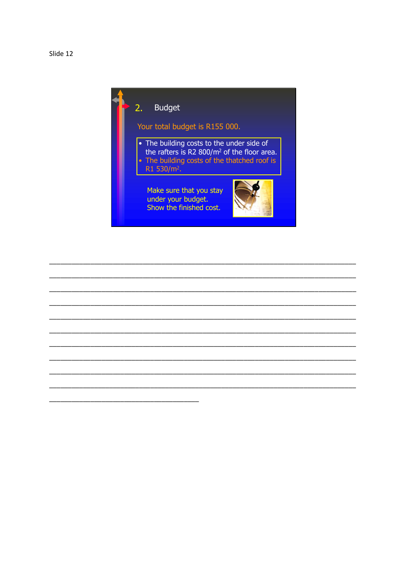